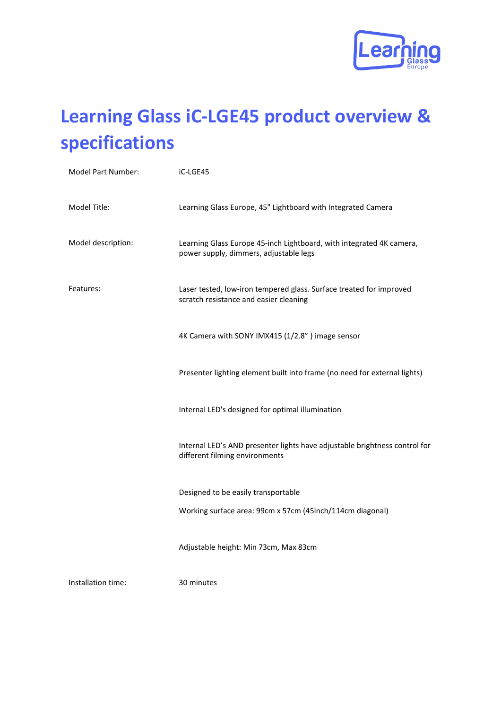

# **Learning Glass iC-LGE45 product overview & specifications**

| Model Part Number: | iC-LGE45                                                                                                       |
|--------------------|----------------------------------------------------------------------------------------------------------------|
| Model Title:       | Learning Glass Europe, 45" Lightboard with Integrated Camera                                                   |
| Model description: | Learning Glass Europe 45-inch Lightboard, with integrated 4K camera,<br>power supply, dimmers, adjustable legs |
| Features:          | Laser tested, low-iron tempered glass. Surface treated for improved<br>scratch resistance and easier cleaning  |
|                    | 4K Camera with SONY IMX415 (1/2.8") image sensor                                                               |
|                    | Presenter lighting element built into frame (no need for external lights)                                      |
|                    | Internal LED's designed for optimal illumination                                                               |
|                    | Internal LED's AND presenter lights have adjustable brightness control for<br>different filming environments   |
|                    | Designed to be easily transportable                                                                            |
|                    | Working surface area: 99cm x 57cm (45inch/114cm diagonal)                                                      |
|                    | Adjustable height: Min 73cm, Max 83cm                                                                          |
| Installation time: | 30 minutes                                                                                                     |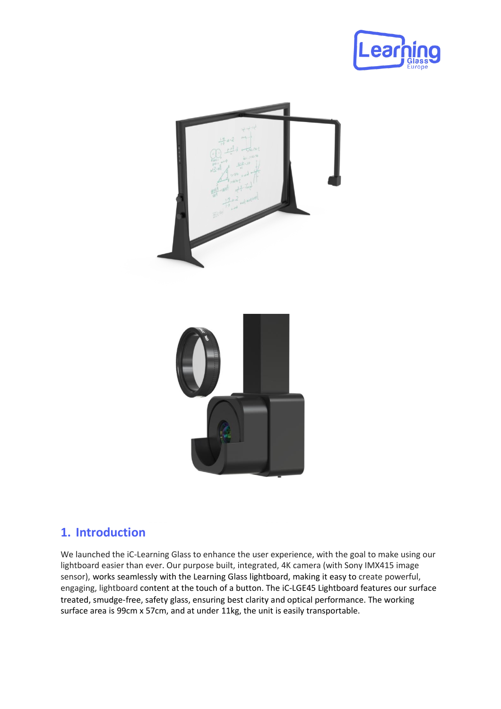



#### **1. Introduction**

We launched the iC-Learning Glass to enhance the user experience, with the goal to make using our lightboard easier than ever. Our purpose built, integrated, 4K camera (with Sony IMX415 image sensor), works seamlessly with the Learning Glass lightboard, making it easy to create powerful, engaging, lightboard content at the touch of a button. The iC-LGE45 Lightboard features our surface treated, smudge-free, safety glass, ensuring best clarity and optical performance. The working surface area is 99cm x 57cm, and at under 11kg, the unit is easily transportable.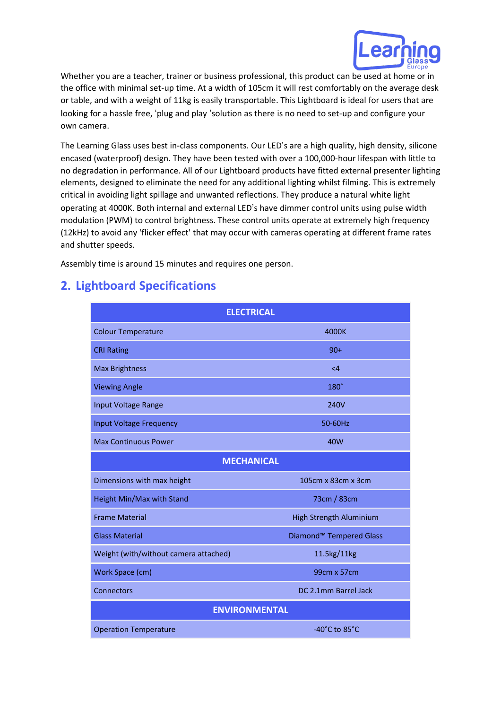

Whether you are a teacher, trainer or business professional, this product can be used at home or in the office with minimal set-up time. At a width of 105cm it will rest comfortably on the average desk or table, and with a weight of 11kg is easily transportable. This Lightboard is ideal for users that are looking for a hassle free, 'plug and play 'solution as there is no need to set-up and configure your own camera.

The Learning Glass uses best in-class components. Our LED's are a high quality, high density, silicone encased (waterproof) design. They have been tested with over a 100,000-hour lifespan with little to no degradation in performance. All of our Lightboard products have fitted external presenter lighting elements, designed to eliminate the need for any additional lighting whilst filming. This is extremely critical in avoiding light spillage and unwanted reflections. They produce a natural white light operating at 4000K. Both internal and external LED's have dimmer control units using pulse width modulation (PWM) to control brightness. These control units operate at extremely high frequency (12kHz) to avoid any 'flicker effect' that may occur with cameras operating at different frame rates and shutter speeds.

Assembly time is around 15 minutes and requires one person.

### **2. Lightboard Specifications**

| <b>ELECTRICAL</b>                     |                                     |  |
|---------------------------------------|-------------------------------------|--|
| <b>Colour Temperature</b>             | 4000K                               |  |
| <b>CRI Rating</b>                     | $90+$                               |  |
| <b>Max Brightness</b>                 | $\leq 4$                            |  |
| <b>Viewing Angle</b>                  | 180°                                |  |
| Input Voltage Range                   | 240V                                |  |
| <b>Input Voltage Frequency</b>        | 50-60Hz                             |  |
| <b>Max Continuous Power</b>           | 40W                                 |  |
| <b>MECHANICAL</b>                     |                                     |  |
| Dimensions with max height            | 105cm x 83cm x 3cm                  |  |
| Height Min/Max with Stand             | 73cm / 83cm                         |  |
| <b>Frame Material</b>                 | <b>High Strength Aluminium</b>      |  |
| <b>Glass Material</b>                 | Diamond <sup>™</sup> Tempered Glass |  |
| Weight (with/without camera attached) | 11.5kg/11kg                         |  |
| Work Space (cm)                       | 99cm x 57cm                         |  |
| Connectors                            | DC 2.1mm Barrel Jack                |  |
| <b>ENVIRONMENTAL</b>                  |                                     |  |
| <b>Operation Temperature</b>          | -40 $^{\circ}$ C to 85 $^{\circ}$ C |  |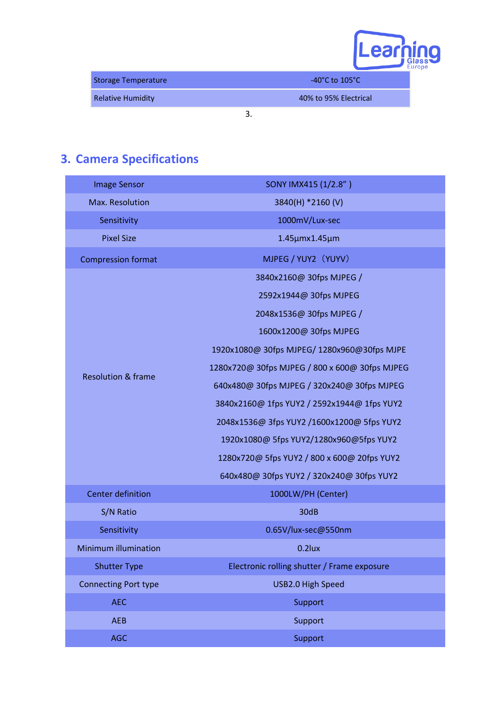| u N                |
|--------------------|
| Glass <sup>®</sup> |
|                    |

| <b>Storage Temperature</b> | $-40^{\circ}$ C to $105^{\circ}$ C |
|----------------------------|------------------------------------|
| <b>Relative Humidity</b>   | 40% to 95% Electrical              |
|                            |                                    |

## **3. Camera Specifications**

| <b>Image Sensor</b>           | SONY IMX415 (1/2.8")                           |
|-------------------------------|------------------------------------------------|
| Max. Resolution               | 3840(H) *2160 (V)                              |
| Sensitivity                   | 1000mV/Lux-sec                                 |
| <b>Pixel Size</b>             | 1.45µmx1.45µm                                  |
| <b>Compression format</b>     | MJPEG / YUY2 (YUYV)                            |
|                               | 3840x2160@ 30fps MJPEG /                       |
|                               | 2592x1944@ 30fps MJPEG                         |
|                               | 2048x1536@ 30fps MJPEG /                       |
|                               | 1600x1200@ 30fps MJPEG                         |
|                               | 1920x1080@ 30fps MJPEG/ 1280x960@30fps MJPE    |
|                               | 1280x720@ 30fps MJPEG / 800 x 600@ 30fps MJPEG |
| <b>Resolution &amp; frame</b> | 640x480@ 30fps MJPEG / 320x240@ 30fps MJPEG    |
|                               | 3840x2160@ 1fps YUY2 / 2592x1944@ 1fps YUY2    |
|                               | 2048x1536@ 3fps YUY2 /1600x1200@ 5fps YUY2     |
|                               | 1920x1080@ 5fps YUY2/1280x960@5fps YUY2        |
|                               | 1280x720@ 5fps YUY2 / 800 x 600@ 20fps YUY2    |
|                               | 640x480@ 30fps YUY2 / 320x240@ 30fps YUY2      |
| <b>Center definition</b>      | 1000LW/PH (Center)                             |
| S/N Ratio                     | 30dB                                           |
| Sensitivity                   | 0.65V/lux-sec@550nm                            |
| <b>Minimum illumination</b>   | $0.2$ lux                                      |
| <b>Shutter Type</b>           | Electronic rolling shutter / Frame exposure    |
| <b>Connecting Port type</b>   | USB2.0 High Speed                              |
| <b>AEC</b>                    | Support                                        |
| <b>AEB</b>                    | Support                                        |
| <b>AGC</b>                    | Support                                        |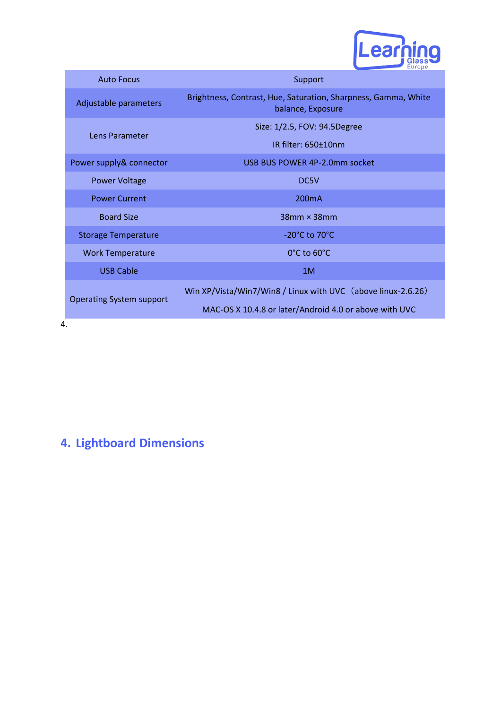

| <b>Auto Focus</b>               | Support                                                                             |
|---------------------------------|-------------------------------------------------------------------------------------|
| Adjustable parameters           | Brightness, Contrast, Hue, Saturation, Sharpness, Gamma, White<br>balance, Exposure |
| Lens Parameter                  | Size: 1/2.5, FOV: 94.5Degree                                                        |
|                                 | IR filter: 650+10nm                                                                 |
| Power supply& connector         | USB BUS POWER 4P-2.0mm socket                                                       |
| <b>Power Voltage</b>            | DC5V                                                                                |
| <b>Power Current</b>            | 200 <sub>m</sub> A                                                                  |
| <b>Board Size</b>               | $38$ mm $\times$ 38mm                                                               |
| <b>Storage Temperature</b>      | $-20^{\circ}$ C to 70 $^{\circ}$ C                                                  |
| <b>Work Temperature</b>         | $0^{\circ}$ C to 60 $^{\circ}$ C                                                    |
| <b>USB Cable</b>                | 1M                                                                                  |
| <b>Operating System support</b> | Win XP/Vista/Win7/Win8 / Linux with UVC (above linux-2.6.26)                        |
| 4.                              | MAC-OS X 10.4.8 or later/Android 4.0 or above with UVC                              |

## **4. Lightboard Dimensions**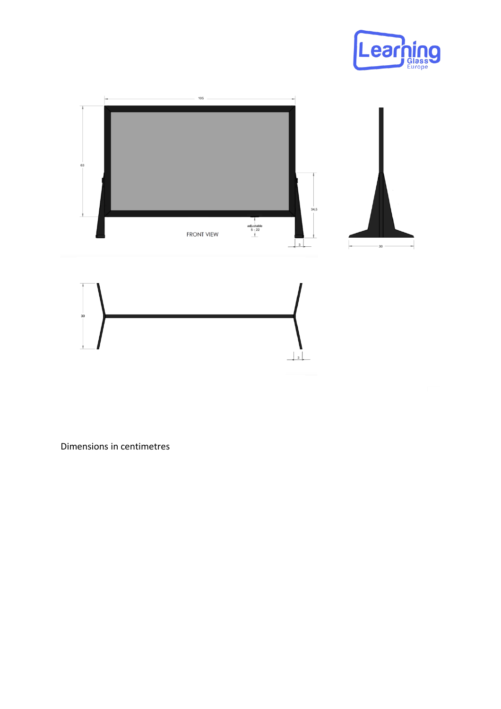







Dimensions in centimetres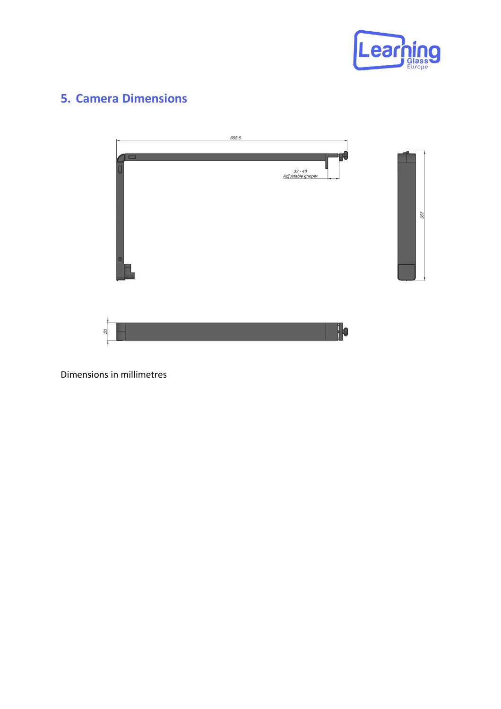

#### **5. Camera Dimensions**



Dimensions in millimetres